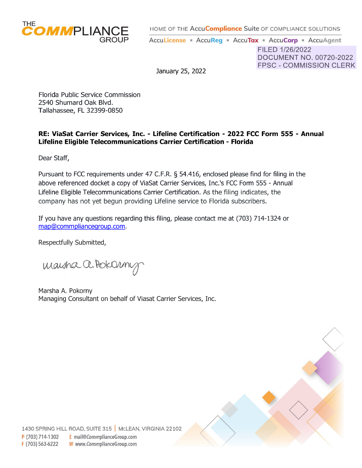

HOME OF THE **AccuCompliance** Suite OF COMPLIANCE SOLUTIONS

AccuLicense • AccuReg • AccuTax • AccuCorp • AccuAgent

FILED 1/26/2022 DOCUMENT NO. 00720-2022 FPSC - COMMISSION CLERK

 $\Diamond$ 

 $\begin{pmatrix} 1 & 1 \\ 1 & 1 \end{pmatrix}$ 

January 25, 2022

Florida Public Service Commission 2540 Shumard Oak Blvd. Tallahassee, FL 32399-0850

# **RE: ViaSat Carrier Services, Inc. - Lifeline Certification - 2022 FCC Form 555 - Annual Lifeline Eligible Telecommunications Carrier Certification - Florida**

Dear Staff,

Pursuant to FCC requirements under 47 C.F.R. § 54.416, enclosed please find for filing in the above referenced docket a copy of ViaSat Carrier Services, Inc.'s FCC Form 555 - Annual Lifeline Eligible Telecommunications Carrier Certification. As the filing indicates, the company has not yet begun providing Lifeline service to Florida subscribers.

If you have any questions regarding this filing, please contact me at (703) 714-1324 or [map@commpliancegroup.com.](mailto:map@commpliancegroup.com)

Respectfully Submitted,

maisha a. Pokornig

Marsha A. Pokorny Managing Consultant on behalf of Viasat Carrier Services, Inc.

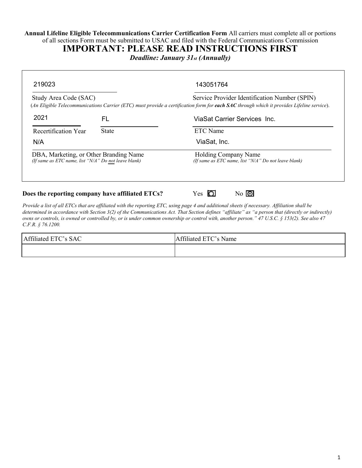**Annual Lifeline Eligible Telecommunications Carrier Certification Form** All carriers must complete all or portions of all sections Form must be submitted to USAC and filed with the Federal Communications Commission

**IMPORTANT: PLEASE READ INSTRUCTIONS FIRST**

*Deadline: January 31st (Annually)*

| Study Area Code (SAC)                                                                          |                                                  | Service Provider Identification Number (SPIN)                                                                                             |
|------------------------------------------------------------------------------------------------|--------------------------------------------------|-------------------------------------------------------------------------------------------------------------------------------------------|
|                                                                                                |                                                  | (An Eligible Telecommunications Carrier (ETC) must provide a certification form for each SAC through which it provides Lifeline service). |
| 2021                                                                                           | FL                                               | ViaSat Carrier Services Inc.                                                                                                              |
| Recertification Year                                                                           | <b>State</b>                                     | <b>ETC</b> Name                                                                                                                           |
| N/A                                                                                            |                                                  | ViaSat, Inc.                                                                                                                              |
| DBA, Marketing, or Other Branding Name<br>(If same as ETC name, list "N/A" Do not leave blank) |                                                  | <b>Holding Company Name</b><br>(If same as ETC name, list "N/A" Do not leave blank)                                                       |
|                                                                                                | Does the reporting company have affiliated ETCs? | $No$ $\overline{O}$<br>Yes.                                                                                                               |

*Provide a list of all ETCs that are affiliated with the reporting ETC, using page 4 and additional sheets if necessary. Affiliation shall be determined in accordance with Section 3(2) of the Communications Act. That Section defines "affiliate" as "a person that (directly or indirectly) owns or controls, is owned or controlled by, or is under common ownership or control with, another person." 47 U.S.C. § 153(2). See also 47 C.F.R. § 76.1200.*

| CCT<br>Affiliated ETC's SAC | $\sim$ $\sim$ 1.<br>ffiliated ETC's Name<br>$\blacktriangle$ |
|-----------------------------|--------------------------------------------------------------|
|                             |                                                              |

٦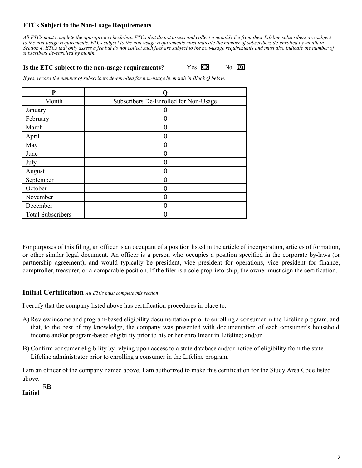## **ETCs Subject to the Non-Usage Requirements**

*All ETCs must complete the appropriate check-box. ETCs that do not assess and collect a monthly fee from their Lifeline subscribers are subject to the non-usage requirements. ETCs subject to the non-usage requirements must indicate the number of subscribers de-enrolled by month in Section 4. ETCs that only assess a fee but do not collect such fees are subject to the non-usage requirements and must also indicate the number of subscribers de-enrolled by month.*

## **Is the ETC subject to the non-usage requirements?** Yes  $\overline{O}$  No  $\overline{O}$

*If yes, record the number of subscribers de-enrolled for non-usage by month in Block Q below.*

| P                        |                                       |
|--------------------------|---------------------------------------|
| Month                    | Subscribers De-Enrolled for Non-Usage |
| January                  |                                       |
| February                 | n                                     |
| March                    | 0                                     |
| April                    |                                       |
| May                      |                                       |
| June                     |                                       |
| July                     |                                       |
| August                   |                                       |
| September                |                                       |
| October                  |                                       |
| November                 |                                       |
| December                 |                                       |
| <b>Total Subscribers</b> |                                       |

For purposes of this filing, an officer is an occupant of a position listed in the article of incorporation, articles of formation, or other similar legal document. An officer is a person who occupies a position specified in the corporate by-laws (or partnership agreement), and would typically be president, vice president for operations, vice president for finance, comptroller, treasurer, or a comparable position. If the filer is a sole proprietorship, the owner must sign the certification.

#### **Initial Certification** *All ETCs must complete this section*

I certify that the company listed above has certification procedures in place to:

- A) Review income and program-based eligibility documentation prior to enrolling a consumer in the Lifeline program, and that, to the best of my knowledge, the company was presented with documentation of each consumer's household income and/or program-based eligibility prior to his or her enrollment in Lifeline; and/or
- B) Confirm consumer eligibility by relying upon access to a state database and/or notice of eligibility from the state Lifeline administrator prior to enrolling a consumer in the Lifeline program.

I am an officer of the company named above. I am authorized to make this certification for the Study Area Code listed above.

**Initial \_\_\_\_\_\_\_\_\_** RB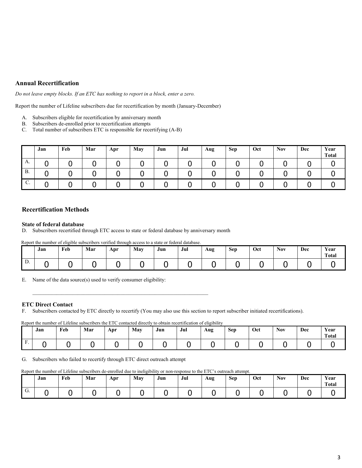## **Annual Recertification**

*Do not leave empty blocks. If an ETC has nothing to report in a block, enter a zero.*

Report the number of Lifeline subscribers due for recertification by month (January-December)

- A. Subscribers eligible for recertification by anniversary month
- B. Subscribers de-enrolled prior to recertification attempts
- C. Total number of subscribers ETC is responsible for recertifying (A-B)

|              | Jan | Feb | Mar | Apr | May | Jun | Jul | Aug | <b>Sep</b> | Oct | <b>Nov</b> | Dec | Year<br><b>Total</b> |
|--------------|-----|-----|-----|-----|-----|-----|-----|-----|------------|-----|------------|-----|----------------------|
| A.           |     |     |     |     |     |     |     |     |            |     |            |     |                      |
| <b>B.</b>    |     |     |     | u   |     |     |     |     |            |     |            |     |                      |
| $\sim$<br>U. |     |     |     |     |     |     |     |     | ັ          |     |            |     |                      |

#### **Recertification Methods**

#### **State of federal database**

D. Subscribers recertified through ETC access to state or federal database by anniversary month

Report the number of eligible subscribers verified through access to a state or federal database.

|    | <b>The Contract of the Contract of the Contract of the Contract of the Contract of the Contract of the Contract o</b><br>Jan | Feb | Mar | Apr | May | $\mathbf{r}$<br>Jun | Jul | Aug | <b>Sep</b> | Oct | <b>Nov</b> | Dec | Year<br><b>Total</b> |
|----|------------------------------------------------------------------------------------------------------------------------------|-----|-----|-----|-----|---------------------|-----|-----|------------|-----|------------|-----|----------------------|
| D. |                                                                                                                              |     |     |     |     |                     |     |     |            |     |            |     |                      |

E. Name of the data source(s) used to verify consumer eligibility:

#### **ETC Direct Contact**

F. Subscribers contacted by ETC directly to recertify (You may also use this section to report subscriber initiated recertifications).

#### Report the number of Lifeline subscribers the ETC contacted directly to obtain recertification of eligibility

|                            | Jan | Feb | Mar | Apr | May | Jun | Jul | Aug | <b>Sep</b> | Oct | <b>Nov</b> | Dec | Year<br><b>Total</b> |
|----------------------------|-----|-----|-----|-----|-----|-----|-----|-----|------------|-----|------------|-----|----------------------|
| $\blacksquare$<br>н<br>. . |     |     |     |     |     |     |     |     |            |     |            |     |                      |

G. Subscribers who failed to recertify through ETC direct outreach attempt

Report the number of Lifeline subscribers de-enrolled due to ineligibility or non-response to the ETC's outreach attempt.

|              | Jan | Feb | Mar | Apr | May | $-$<br>Jun | Jul | Aug | <b>Sep</b> | Oct | <b>Nov</b> | Dec | Year<br>Total |
|--------------|-----|-----|-----|-----|-----|------------|-----|-----|------------|-----|------------|-----|---------------|
| $\sim$<br>U. |     |     |     |     |     |            |     |     |            |     |            |     |               |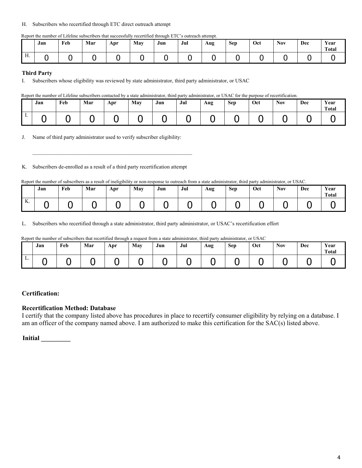#### H. Subscribers who recertified through ETC direct outreach attempt

|  |  |  | Report the number of Lifeline subscribers that successfully recertified through ETC's outreach attempt. |  |
|--|--|--|---------------------------------------------------------------------------------------------------------|--|
|  |  |  |                                                                                                         |  |

|                       | Jan | Feb | Mar | Apr | May | Jun | Jul | Aug | <b>Sep</b> | Oct | <b>Nov</b> | Dec | Year<br><b>Total</b> |
|-----------------------|-----|-----|-----|-----|-----|-----|-----|-----|------------|-----|------------|-----|----------------------|
| <b>TT</b><br>$\pm 1.$ |     |     |     |     |     |     |     |     |            |     |            |     |                      |

#### **Third Party**

I. Subscribers whose eligibility was reviewed by state administrator, third party administrator, or USAC

Report the number of Lifeline subscribers contacted by a state administrator, third party administrator, or USAC for the purpose of recertification.

|         | Jan | Feb | Mar | Apr | May | Jun | Jul | Aug | <b>Sep</b> | Oct | <b>Nov</b> | Dec | Year<br><b>Total</b> |
|---------|-----|-----|-----|-----|-----|-----|-----|-----|------------|-----|------------|-----|----------------------|
| $\cdot$ |     |     |     |     |     |     |     |     |            |     |            |     |                      |

J. Name of third party administrator used to verify subscriber eligibility:

K. Subscribers de-enrolled as a result of a third party recertification attempt

Report the number of subscribers as a result of ineligibility or non-response to outreach from a state administrator, third party administrator, or USAC.

|         | Jan | Feb | Mar | Apr | May | Jun | Jul | Aug | Sep | Oct | <b>Nov</b> | Dec | Year<br>Total |
|---------|-----|-----|-----|-----|-----|-----|-----|-----|-----|-----|------------|-----|---------------|
| V<br>A. |     |     |     | . . |     |     |     |     |     |     |            |     |               |

L. Subscribers who recertified through a state administrator, third party administrator, or USAC's recertification effort

Report the number of subscribers that recertified through a request from a state administrator, third party administrator, or USAC

|    | Jan | Feb | Mar | Apr | May | Jun | Jul | Aug | Sep | Oct | <b>Nov</b> | Dec | Year<br>Total |
|----|-----|-----|-----|-----|-----|-----|-----|-----|-----|-----|------------|-----|---------------|
| L. |     |     |     |     |     |     |     |     |     |     |            |     |               |

#### **Certification:**

#### **Recertification Method: Database**

I certify that the company listed above has procedures in place to recertify consumer eligibility by relying on a database. I am an officer of the company named above. I am authorized to make this certification for the SAC(s) listed above.

**Initial \_\_\_\_\_\_\_\_\_**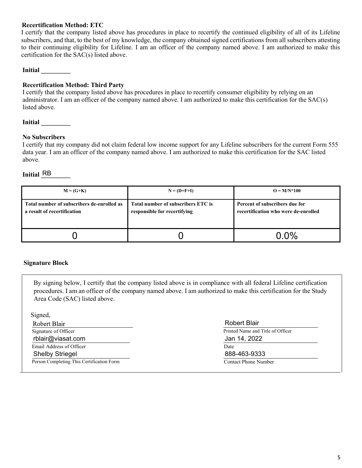## **Recertification Method: ETC**

I certify that the company listed above has procedures in place to recertify the continued eligibility of all of its Lifeline subscribers, and that, to the best of my knowledge, the company obtained signed certifications from all subscribers attesting to their continuing eligibility for Lifeline. I am an officer of the company named above. I am authorized to make this certification for the SAC(s) listed above.

### **Initial \_\_\_\_\_\_\_\_\_**

# **Recertification Method: Third Party**

I certify that the company listed above has procedures in place to recertify consumer eligibility by relying on an administrator. I am an officer of the company named above. I am authorized to make this certification for the SAC(s) listed above.

**Initial \_\_\_\_\_\_\_\_\_**

#### **No Subscribers**

I certify that my company did not claim federal low income support for any Lifeline subscribers for the current Form 555 data year. I am an officer of the company named above. I am authorized to make this certification for the SAC listed above.

# Initial **RB**

| $M = (G+K)$                                                               | $N = (D+F+I)$                                                      | $Q = M/N^*100$                                                         |
|---------------------------------------------------------------------------|--------------------------------------------------------------------|------------------------------------------------------------------------|
| Total number of subscribers de-enrolled as<br>a result of recertification | Total number of subscribers ETC is<br>responsible for recertifying | Percent of subscribers due for<br>recertification who were de-enrolled |
|                                                                           |                                                                    | $0.0\%$                                                                |

### **Signature Block**

By signing below, I certify that the company listed above is in compliance with all federal Lifeline certification procedures. I am an officer of the company named above. I am authorized to make this certification for the Study Area Code (SAC) listed above.

| Robert Blair                      |
|-----------------------------------|
| Printed Name and Title of Officer |
| Jan 14, 2022                      |
| Date                              |
| 888-463-9333                      |
| <b>Contact Phone Number</b>       |
|                                   |